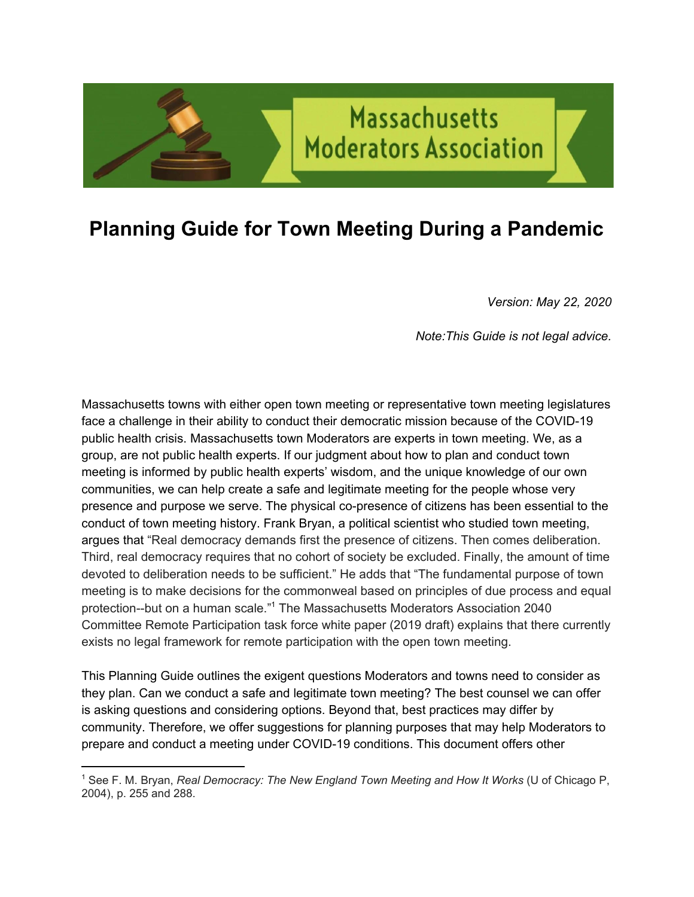## **Planning Guide for Town Meeting During a Pandemic**

**Massachusetts** 

**Moderators Association** 

*Version: May 22, 2020* 

*Note:This Guide is not legal advice.* 

Massachusetts towns with either open town meeting or representative town meeting legislatures face a challenge in their ability to conduct their democratic mission because of the COVID-19 public health crisis. Massachusetts town Moderators are experts in town meeting. We, as a group, are not public health experts. If our judgment about how to plan and conduct town meeting is informed by public health experts' wisdom, and the unique knowledge of our own communities, we can help create a safe and legitimate meeting for the people whose very presence and purpose we serve. The physical co-presence of citizens has been essential to the conduct of town meeting history. Frank Bryan, a political scientist who studied town meeting, argues that "Real democracy demands first the presence of citizens. Then comes deliberation. Third, real democracy requires that no cohort of society be excluded. Finally, the amount of time devoted to deliberation needs to be sufficient." He adds that "The fundamental purpose of town meeting is to make decisions for the commonweal based on principles of due process and equal protection--but on a human scale."<sup>1</sup> The Massachusetts Moderators Association 2040 Committee Remote Participation task force white paper (2019 draft) explains that there currently exists no legal framework for remote participation with the open town meeting.

This Planning Guide outlines the exigent questions Moderators and towns need to consider as they plan. Can we conduct a safe and legitimate town meeting? The best counsel we can offer is asking questions and considering options. Beyond that, best practices may differ by community. Therefore, we offer suggestions for planning purposes that may help Moderators to prepare and conduct a meeting under COVID-19 conditions. This document offers other

<sup>1</sup> See F. M. Bryan, *Real Democracy: The New England Town Meeting and How It Works* (U of Chicago P, 2004), p. 255 and 288.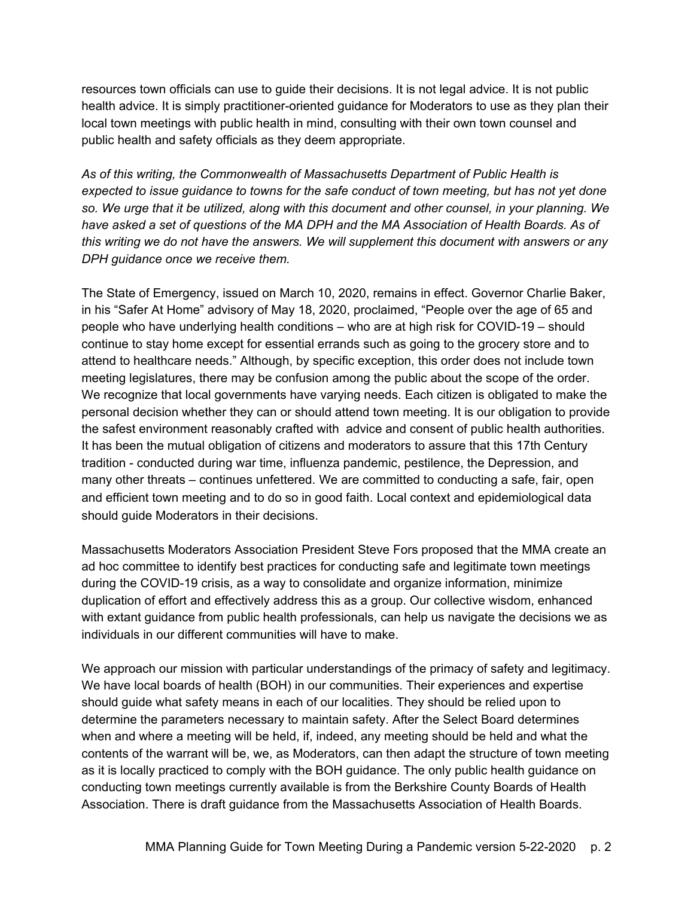resources town officials can use to guide their decisions. It is not legal advice. It is not public health advice. It is simply practitioner-oriented guidance for Moderators to use as they plan their local town meetings with public health in mind, consulting with their own town counsel and public health and safety officials as they deem appropriate.

*As of this writing, the Commonwealth of Massachusetts Department of Public Health is expected to issue guidance to towns for the safe conduct of town meeting, but has not yet done so. We urge that it be utilized, along with this document and other counsel, in your planning. We have asked a set of questions of the MA DPH and the MA Association of Health Boards. As of this writing we do not have the answers. We will supplement this document with answers or any DPH guidance once we receive them.* 

The State of Emergency, issued on March 10, 2020, remains in effect. Governor Charlie Baker, in his "Safer At Home" advisory of May 18, 2020, proclaimed, "People over the age of 65 and people who have underlying health conditions – who are at high risk for COVID-19 – should continue to stay home except for essential errands such as going to the grocery store and to attend to healthcare needs." Although, by specific exception, this order does not include town meeting legislatures, there may be confusion among the public about the scope of the order. We recognize that local governments have varying needs. Each citizen is obligated to make the personal decision whether they can or should attend town meeting. It is our obligation to provide the safest environment reasonably crafted with advice and consent of public health authorities. It has been the mutual obligation of citizens and moderators to assure that this 17th Century tradition - conducted during war time, influenza pandemic, pestilence, the Depression, and many other threats – continues unfettered. We are committed to conducting a safe, fair, open and efficient town meeting and to do so in good faith. Local context and epidemiological data should guide Moderators in their decisions.

Massachusetts Moderators Association President Steve Fors proposed that the MMA create an ad hoc committee to identify best practices for conducting safe and legitimate town meetings during the COVID-19 crisis, as a way to consolidate and organize information, minimize duplication of effort and effectively address this as a group. Our collective wisdom, enhanced with extant guidance from public health professionals, can help us navigate the decisions we as individuals in our different communities will have to make.

We approach our mission with particular understandings of the primacy of safety and legitimacy. We have local boards of health (BOH) in our communities. Their experiences and expertise should guide what safety means in each of our localities. They should be relied upon to determine the parameters necessary to maintain safety. After the Select Board determines when and where a meeting will be held, if, indeed, any meeting should be held and what the contents of the warrant will be, we, as Moderators, can then adapt the structure of town meeting as it is locally practiced to comply with the BOH guidance. The only public health guidance on conducting town meetings currently available is from the Berkshire County Boards of Health Association. There is draft guidance from the Massachusetts Association of Health Boards.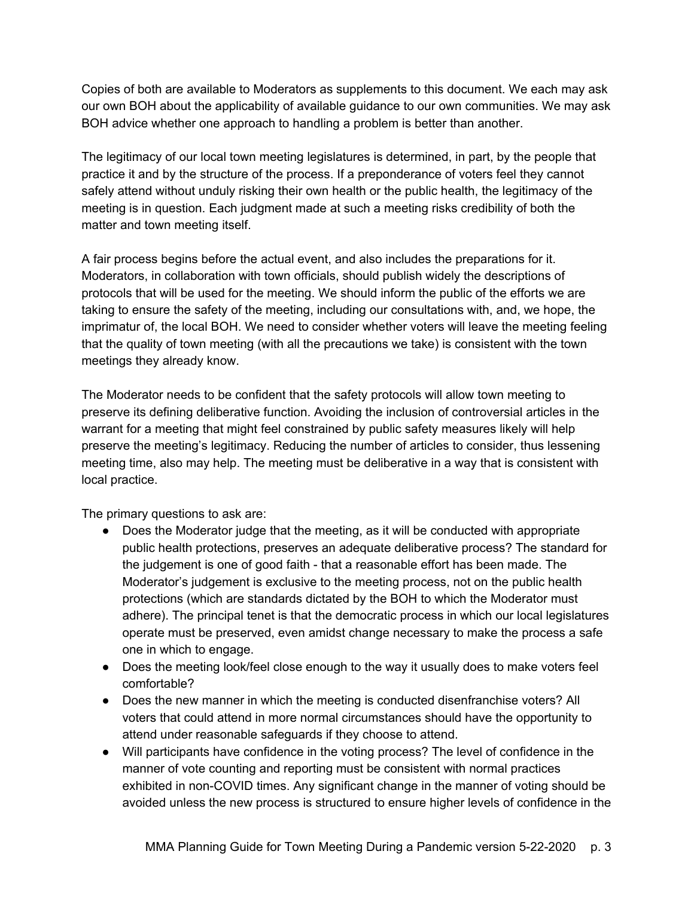Copies of both are available to Moderators as supplements to this document. We each may ask our own BOH about the applicability of available guidance to our own communities. We may ask BOH advice whether one approach to handling a problem is better than another.

The legitimacy of our local town meeting legislatures is determined, in part, by the people that practice it and by the structure of the process. If a preponderance of voters feel they cannot safely attend without unduly risking their own health or the public health, the legitimacy of the meeting is in question. Each judgment made at such a meeting risks credibility of both the matter and town meeting itself.

A fair process begins before the actual event, and also includes the preparations for it. Moderators, in collaboration with town officials, should publish widely the descriptions of protocols that will be used for the meeting. We should inform the public of the efforts we are taking to ensure the safety of the meeting, including our consultations with, and, we hope, the imprimatur of, the local BOH. We need to consider whether voters will leave the meeting feeling that the quality of town meeting (with all the precautions we take) is consistent with the town meetings they already know.

The Moderator needs to be confident that the safety protocols will allow town meeting to preserve its defining deliberative function. Avoiding the inclusion of controversial articles in the warrant for a meeting that might feel constrained by public safety measures likely will help preserve the meeting's legitimacy. Reducing the number of articles to consider, thus lessening meeting time, also may help. The meeting must be deliberative in a way that is consistent with local practice.

The primary questions to ask are:

- Does the Moderator judge that the meeting, as it will be conducted with appropriate public health protections, preserves an adequate deliberative process? The standard for the judgement is one of good faith - that a reasonable effort has been made. The Moderator's judgement is exclusive to the meeting process, not on the public health protections (which are standards dictated by the BOH to which the Moderator must adhere). The principal tenet is that the democratic process in which our local legislatures operate must be preserved, even amidst change necessary to make the process a safe one in which to engage.
- Does the meeting look/feel close enough to the way it usually does to make voters feel comfortable?
- Does the new manner in which the meeting is conducted disenfranchise voters? All voters that could attend in more normal circumstances should have the opportunity to attend under reasonable safeguards if they choose to attend.
- Will participants have confidence in the voting process? The level of confidence in the manner of vote counting and reporting must be consistent with normal practices exhibited in non-COVID times. Any significant change in the manner of voting should be avoided unless the new process is structured to ensure higher levels of confidence in the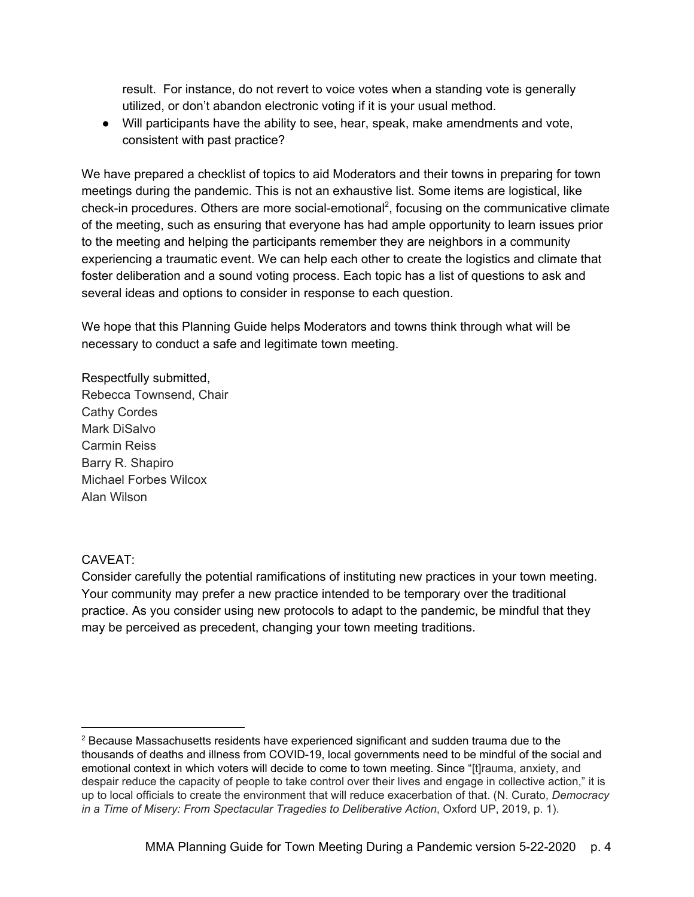result. For instance, do not revert to voice votes when a standing vote is generally utilized, or don't abandon electronic voting if it is your usual method.

● Will participants have the ability to see, hear, speak, make amendments and vote, consistent with past practice?

We have prepared a checklist of topics to aid Moderators and their towns in preparing for town meetings during the pandemic. This is not an exhaustive list. Some items are logistical, like check-in procedures. Others are more social-emotional<sup>2</sup>, focusing on the communicative climate of the meeting, such as ensuring that everyone has had ample opportunity to learn issues prior to the meeting and helping the participants remember they are neighbors in a community experiencing a traumatic event. We can help each other to create the logistics and climate that foster deliberation and a sound voting process. Each topic has a list of questions to ask and several ideas and options to consider in response to each question.

We hope that this Planning Guide helps Moderators and towns think through what will be necessary to conduct a safe and legitimate town meeting.

Respectfully submitted, Rebecca Townsend, Chair Cathy Cordes Mark DiSalvo Carmin Reiss Barry R. Shapiro Michael Forbes Wilcox Alan Wilson

### CAVEAT:

Consider carefully the potential ramifications of instituting new practices in your town meeting. Your community may prefer a new practice intended to be temporary over the traditional practice. As you consider using new protocols to adapt to the pandemic, be mindful that they may be perceived as precedent, changing your town meeting traditions.

<sup>&</sup>lt;sup>2</sup> Because Massachusetts residents have experienced significant and sudden trauma due to the thousands of deaths and illness from COVID-19, local governments need to be mindful of the social and emotional context in which voters will decide to come to town meeting. Since "[t]rauma, anxiety, and despair reduce the capacity of people to take control over their lives and engage in collective action," it is up to local officials to create the environment that will reduce exacerbation of that. (N. Curato, *Democracy in a Time of Misery: From Spectacular Tragedies to Deliberative Action*, Oxford UP, 2019, p. 1).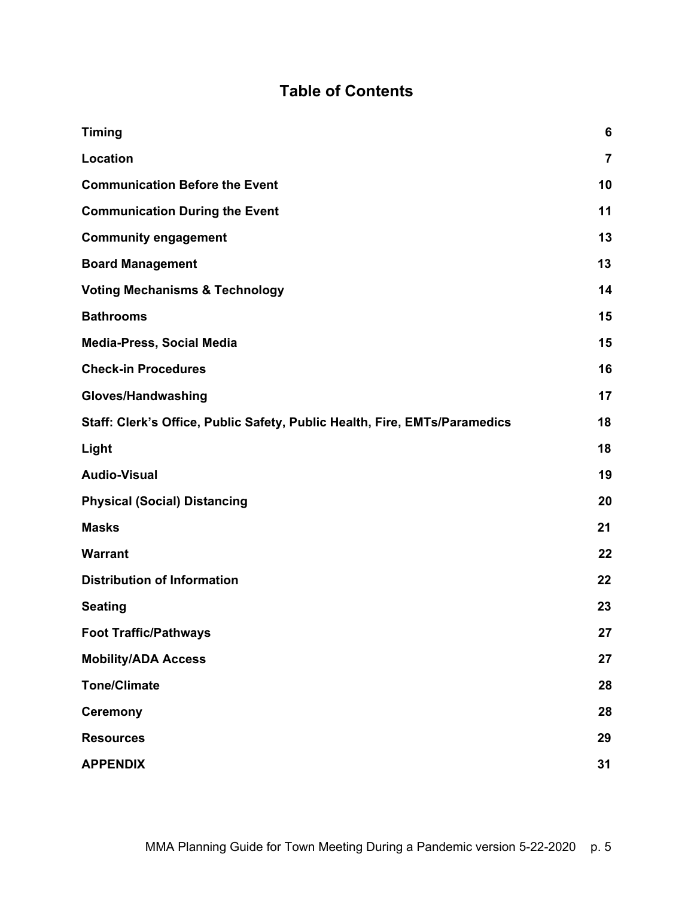### **Table of Contents**

| <b>Timing</b>                                                              | 6              |
|----------------------------------------------------------------------------|----------------|
| Location                                                                   | $\overline{7}$ |
| <b>Communication Before the Event</b>                                      | 10             |
| <b>Communication During the Event</b>                                      | 11             |
| <b>Community engagement</b>                                                | 13             |
| <b>Board Management</b>                                                    | 13             |
| <b>Voting Mechanisms &amp; Technology</b>                                  | 14             |
| <b>Bathrooms</b>                                                           | 15             |
| <b>Media-Press, Social Media</b>                                           | 15             |
| <b>Check-in Procedures</b>                                                 | 16             |
| Gloves/Handwashing                                                         | 17             |
| Staff: Clerk's Office, Public Safety, Public Health, Fire, EMTs/Paramedics | 18             |
| Light                                                                      | 18             |
| <b>Audio-Visual</b>                                                        | 19             |
| <b>Physical (Social) Distancing</b>                                        | 20             |
| <b>Masks</b>                                                               | 21             |
| <b>Warrant</b>                                                             | 22             |
| <b>Distribution of Information</b>                                         | 22             |
| <b>Seating</b>                                                             | 23             |
| <b>Foot Traffic/Pathways</b>                                               | 27             |
| <b>Mobility/ADA Access</b>                                                 | 27             |
| <b>Tone/Climate</b>                                                        | 28             |
| <b>Ceremony</b>                                                            | 28             |
| <b>Resources</b>                                                           | 29             |
| <b>APPENDIX</b>                                                            | 31             |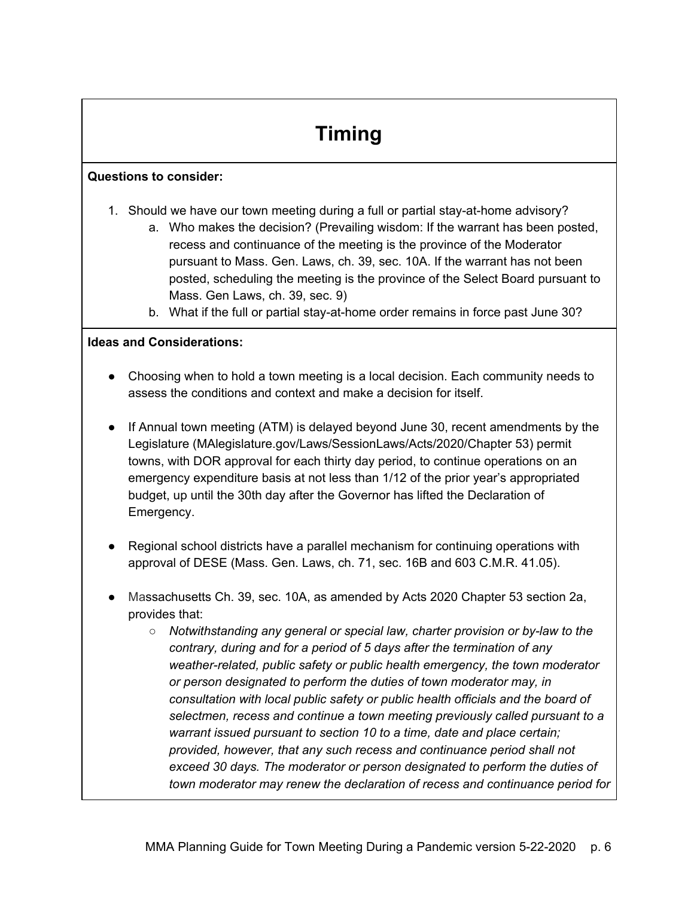# **Timing**

### <span id="page-5-0"></span>**Questions to consider:**

- 1. Should we have our town meeting during a full or partial stay-at-home advisory?
	- a. Who makes the decision? (Prevailing wisdom: If the warrant has been posted, recess and continuance of the meeting is the province of the Moderator pursuant to Mass. Gen. Laws, ch. 39, sec. 10A. If the warrant has not been posted, scheduling the meeting is the province of the Select Board pursuant to Mass. Gen Laws, ch. 39, sec. 9)
	- b. What if the full or partial stay-at-home order remains in force past June 30?

- Choosing when to hold a town meeting is a local decision. Each community needs to assess the conditions and context and make a decision for itself.
- If Annual town meeting (ATM) is delayed beyond June 30, recent amendments by the Legislature (MAlegislature.gov/Laws/SessionLaws/Acts/2020/Chapter 53) permit towns, with DOR approval for each thirty day period, to continue operations on an emergency expenditure basis at not less than 1/12 of the prior year's appropriated budget, up until the 30th day after the Governor has lifted the Declaration of Emergency.
- Regional school districts have a parallel mechanism for continuing operations with approval of DESE (Mass. Gen. Laws, ch. 71, sec. 16B and 603 C.M.R. 41.05).
- Massachusetts Ch. 39, sec. 10A, as amended by Acts 2020 Chapter 53 section 2a, provides that:
	- *Notwithstanding any general or special law, charter provision or by-law to the contrary, during and for a period of 5 days after the termination of any weather-related, public safety or public health emergency, the town moderator or person designated to perform the duties of town moderator may, in consultation with local public safety or public health officials and the board of selectmen, recess and continue a town meeting previously called pursuant to a warrant issued pursuant to section 10 to a time, date and place certain; provided, however, that any such recess and continuance period shall not exceed 30 days. The moderator or person designated to perform the duties of town moderator may renew the declaration of recess and continuance period for*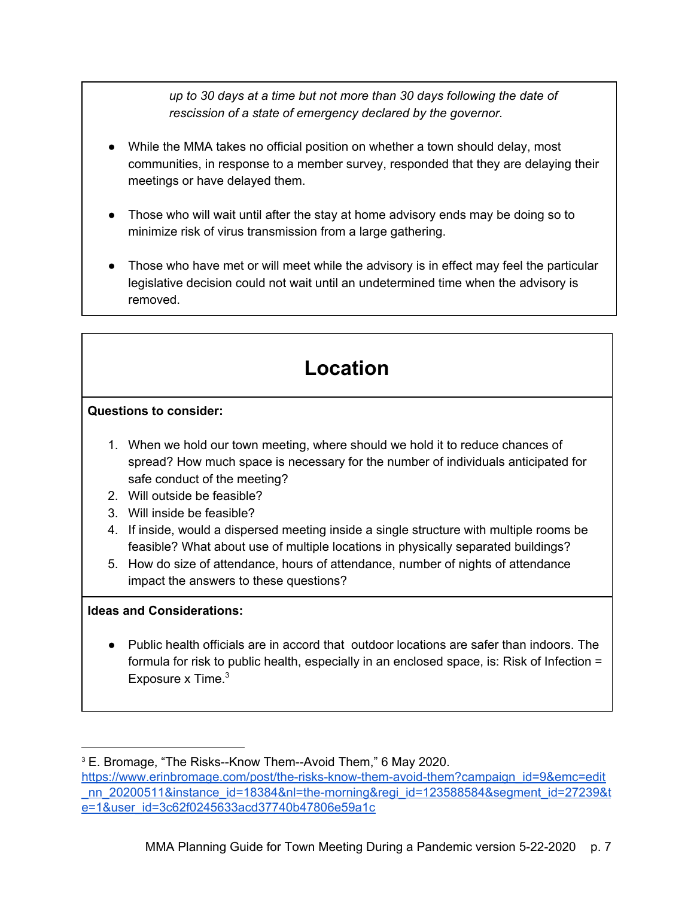*up to 30 days at a time but not more than 30 days following the date of rescission of a state of emergency declared by the governor.*

- While the MMA takes no official position on whether a town should delay, most communities, in response to a member survey, responded that they are delaying their meetings or have delayed them.
- Those who will wait until after the stay at home advisory ends may be doing so to minimize risk of virus transmission from a large gathering.
- Those who have met or will meet while the advisory is in effect may feel the particular legislative decision could not wait until an undetermined time when the advisory is removed.

## **Location**

### <span id="page-6-0"></span>**Questions to consider:**

- 1. When we hold our town meeting, where should we hold it to reduce chances of spread? How much space is necessary for the number of individuals anticipated for safe conduct of the meeting?
- 2. Will outside be feasible?
- 3. Will inside be feasible?
- 4. If inside, would a dispersed meeting inside a single structure with multiple rooms be feasible? What about use of multiple locations in physically separated buildings?
- 5. How do size of attendance, hours of attendance, number of nights of attendance impact the answers to these questions?

### **Ideas and Considerations:**

● Public health officials are in accord that outdoor locations are safer than indoors. The formula for risk to public health, especially in an enclosed space, is: Risk of Infection = Exposure x Time.<sup>3</sup>

<sup>3</sup> E. Bromage, "The Risks--Know Them--Avoid Them," 6 May 2020. [https://www.erinbromage.com/post/the-risks-know-them-avoid-them?campaign\\_id=9&emc=edit](https://www.erinbromage.com/post/the-risks-know-them-avoid-them?campaign_id=9&emc=edit_nn_20200511&instance_id=18384&nl=the-morning®i_id=123588584&segment_id=27239&te=1&user_id=3c62f0245633acd37740b47806e59a1c) nn 20200511&instance\_id=18384&nl=the-morning&regi\_id=123588584&segment\_id=27239&t [e=1&user\\_id=3c62f0245633acd37740b47806e59a1c](https://www.erinbromage.com/post/the-risks-know-them-avoid-them?campaign_id=9&emc=edit_nn_20200511&instance_id=18384&nl=the-morning®i_id=123588584&segment_id=27239&te=1&user_id=3c62f0245633acd37740b47806e59a1c)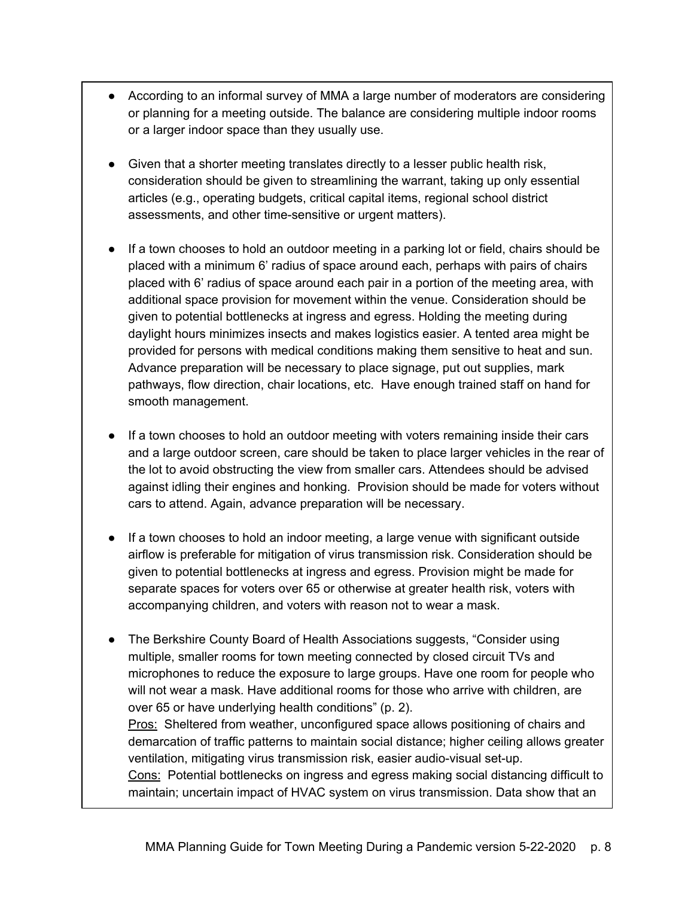- According to an informal survey of MMA a large number of moderators are considering or planning for a meeting outside. The balance are considering multiple indoor rooms or a larger indoor space than they usually use.
- Given that a shorter meeting translates directly to a lesser public health risk, consideration should be given to streamlining the warrant, taking up only essential articles (e.g., operating budgets, critical capital items, regional school district assessments, and other time-sensitive or urgent matters).
- If a town chooses to hold an outdoor meeting in a parking lot or field, chairs should be placed with a minimum 6' radius of space around each, perhaps with pairs of chairs placed with 6' radius of space around each pair in a portion of the meeting area, with additional space provision for movement within the venue. Consideration should be given to potential bottlenecks at ingress and egress. Holding the meeting during daylight hours minimizes insects and makes logistics easier. A tented area might be provided for persons with medical conditions making them sensitive to heat and sun. Advance preparation will be necessary to place signage, put out supplies, mark pathways, flow direction, chair locations, etc. Have enough trained staff on hand for smooth management.
- If a town chooses to hold an outdoor meeting with voters remaining inside their cars and a large outdoor screen, care should be taken to place larger vehicles in the rear of the lot to avoid obstructing the view from smaller cars. Attendees should be advised against idling their engines and honking. Provision should be made for voters without cars to attend. Again, advance preparation will be necessary.
- If a town chooses to hold an indoor meeting, a large venue with significant outside airflow is preferable for mitigation of virus transmission risk. Consideration should be given to potential bottlenecks at ingress and egress. Provision might be made for separate spaces for voters over 65 or otherwise at greater health risk, voters with accompanying children, and voters with reason not to wear a mask.
- The Berkshire County Board of Health Associations suggests, "Consider using multiple, smaller rooms for town meeting connected by closed circuit TVs and microphones to reduce the exposure to large groups. Have one room for people who will not wear a mask. Have additional rooms for those who arrive with children, are over 65 or have underlying health conditions" (p. 2).

Pros: Sheltered from weather, unconfigured space allows positioning of chairs and demarcation of traffic patterns to maintain social distance; higher ceiling allows greater ventilation, mitigating virus transmission risk, easier audio-visual set-up.

Cons: Potential bottlenecks on ingress and egress making social distancing difficult to maintain; uncertain impact of HVAC system on virus transmission. Data show that an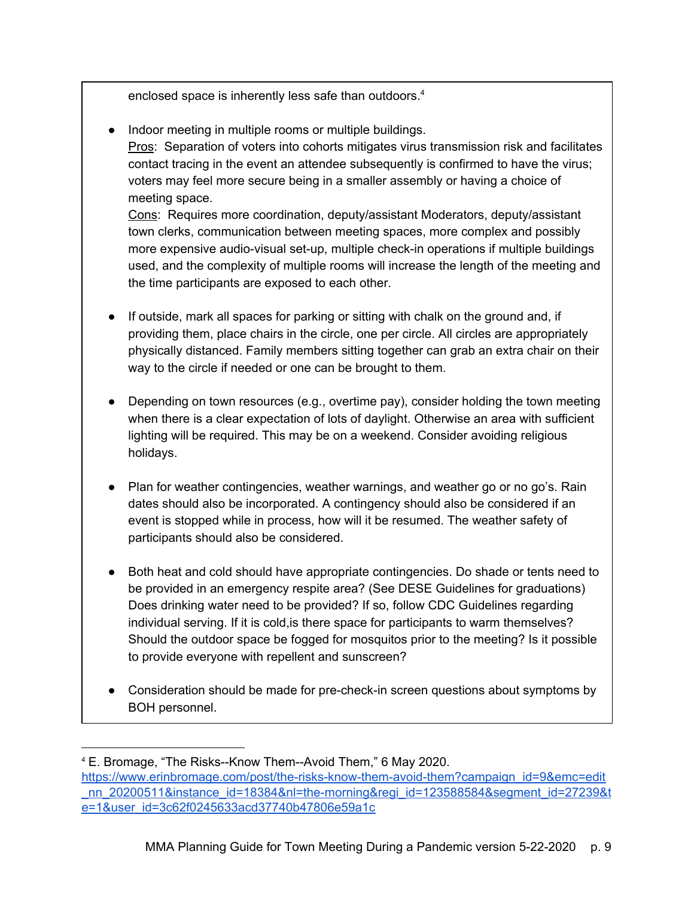enclosed space is inherently less safe than outdoors.<sup>4</sup>

● Indoor meeting in multiple rooms or multiple buildings.

Pros: Separation of voters into cohorts mitigates virus transmission risk and facilitates contact tracing in the event an attendee subsequently is confirmed to have the virus; voters may feel more secure being in a smaller assembly or having a choice of meeting space.

Cons: Requires more coordination, deputy/assistant Moderators, deputy/assistant town clerks, communication between meeting spaces, more complex and possibly more expensive audio-visual set-up, multiple check-in operations if multiple buildings used, and the complexity of multiple rooms will increase the length of the meeting and the time participants are exposed to each other.

- If outside, mark all spaces for parking or sitting with chalk on the ground and, if providing them, place chairs in the circle, one per circle. All circles are appropriately physically distanced. Family members sitting together can grab an extra chair on their way to the circle if needed or one can be brought to them.
- Depending on town resources (e.g., overtime pay), consider holding the town meeting when there is a clear expectation of lots of daylight. Otherwise an area with sufficient lighting will be required. This may be on a weekend. Consider avoiding religious holidays.
- Plan for weather contingencies, weather warnings, and weather go or no go's. Rain dates should also be incorporated. A contingency should also be considered if an event is stopped while in process, how will it be resumed. The weather safety of participants should also be considered.
- Both heat and cold should have appropriate contingencies. Do shade or tents need to be provided in an emergency respite area? (See DESE Guidelines for graduations) Does drinking water need to be provided? If so, follow CDC Guidelines regarding individual serving. If it is cold, is there space for participants to warm themselves? Should the outdoor space be fogged for mosquitos prior to the meeting? Is it possible to provide everyone with repellent and sunscreen?
- Consideration should be made for pre-check-in screen questions about symptoms by BOH personnel.

<sup>4</sup> E. Bromage, "The Risks--Know Them--Avoid Them," 6 May 2020. [https://www.erinbromage.com/post/the-risks-know-them-avoid-them?campaign\\_id=9&emc=edit](https://www.erinbromage.com/post/the-risks-know-them-avoid-them?campaign_id=9&emc=edit_nn_20200511&instance_id=18384&nl=the-morning®i_id=123588584&segment_id=27239&te=1&user_id=3c62f0245633acd37740b47806e59a1c) [\\_nn\\_20200511&instance\\_id=18384&nl=the-morning&regi\\_id=123588584&segment\\_id=27239&t](https://www.erinbromage.com/post/the-risks-know-them-avoid-them?campaign_id=9&emc=edit_nn_20200511&instance_id=18384&nl=the-morning®i_id=123588584&segment_id=27239&te=1&user_id=3c62f0245633acd37740b47806e59a1c) [e=1&user\\_id=3c62f0245633acd37740b47806e59a1c](https://www.erinbromage.com/post/the-risks-know-them-avoid-them?campaign_id=9&emc=edit_nn_20200511&instance_id=18384&nl=the-morning®i_id=123588584&segment_id=27239&te=1&user_id=3c62f0245633acd37740b47806e59a1c)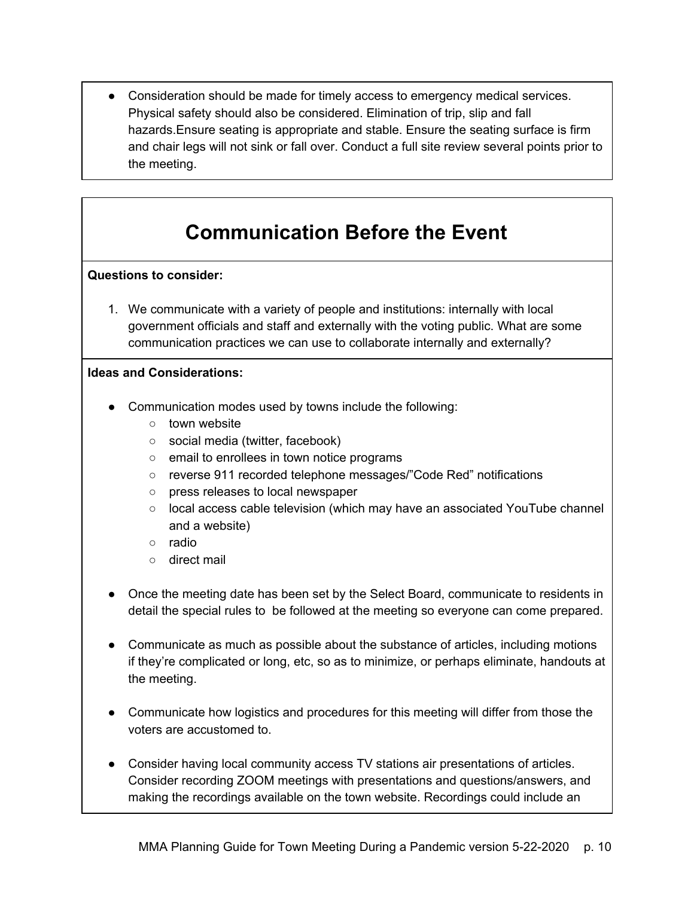● Consideration should be made for timely access to emergency medical services. Physical safety should also be considered. Elimination of trip, slip and fall hazards.Ensure seating is appropriate and stable. Ensure the seating surface is firm and chair legs will not sink or fall over. Conduct a full site review several points prior to the meeting.

## **Communication Before the Event**

### <span id="page-9-0"></span>**Questions to consider:**

1. We communicate with a variety of people and institutions: internally with local government officials and staff and externally with the voting public. What are some communication practices we can use to collaborate internally and externally?

- Communication modes used by towns include the following:
	- town website
	- social media (twitter, facebook)
	- email to enrollees in town notice programs
	- reverse 911 recorded telephone messages/"Code Red" notifications
	- press releases to local newspaper
	- local access cable television (which may have an associated YouTube channel and a website)
	- radio
	- direct mail
- Once the meeting date has been set by the Select Board, communicate to residents in detail the special rules to be followed at the meeting so everyone can come prepared.
- Communicate as much as possible about the substance of articles, including motions if they're complicated or long, etc, so as to minimize, or perhaps eliminate, handouts at the meeting.
- Communicate how logistics and procedures for this meeting will differ from those the voters are accustomed to.
- Consider having local community access TV stations air presentations of articles. Consider recording ZOOM meetings with presentations and questions/answers, and making the recordings available on the town website. Recordings could include an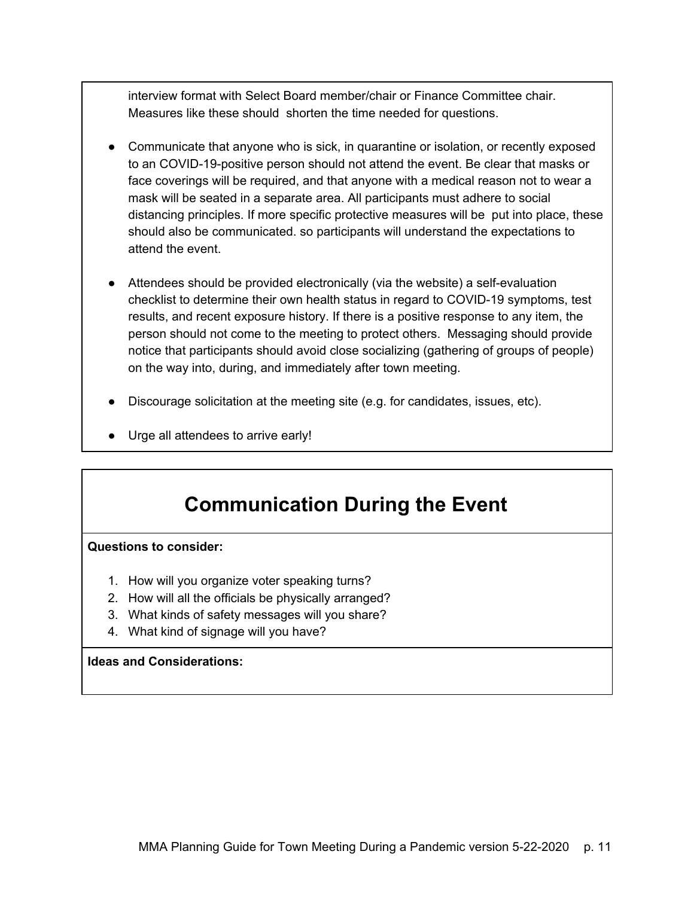interview format with Select Board member/chair or Finance Committee chair. Measures like these should shorten the time needed for questions.

- Communicate that anyone who is sick, in quarantine or isolation, or recently exposed to an COVID-19-positive person should not attend the event. Be clear that masks or face coverings will be required, and that anyone with a medical reason not to wear a mask will be seated in a separate area. All participants must adhere to social distancing principles. If more specific protective measures will be put into place, these should also be communicated. so participants will understand the expectations to attend the event.
- Attendees should be provided electronically (via the website) a self-evaluation checklist to determine their own health status in regard to COVID-19 symptoms, test results, and recent exposure history. If there is a positive response to any item, the person should not come to the meeting to protect others. Messaging should provide notice that participants should avoid close socializing (gathering of groups of people) on the way into, during, and immediately after town meeting.
- Discourage solicitation at the meeting site (e.g. for candidates, issues, etc).
- <span id="page-10-0"></span>Urge all attendees to arrive early!

### **Communication During the Event**

#### **Questions to consider:**

- 1. How will you organize voter speaking turns?
- 2. How will all the officials be physically arranged?
- 3. What kinds of safety messages will you share?
- 4. What kind of signage will you have?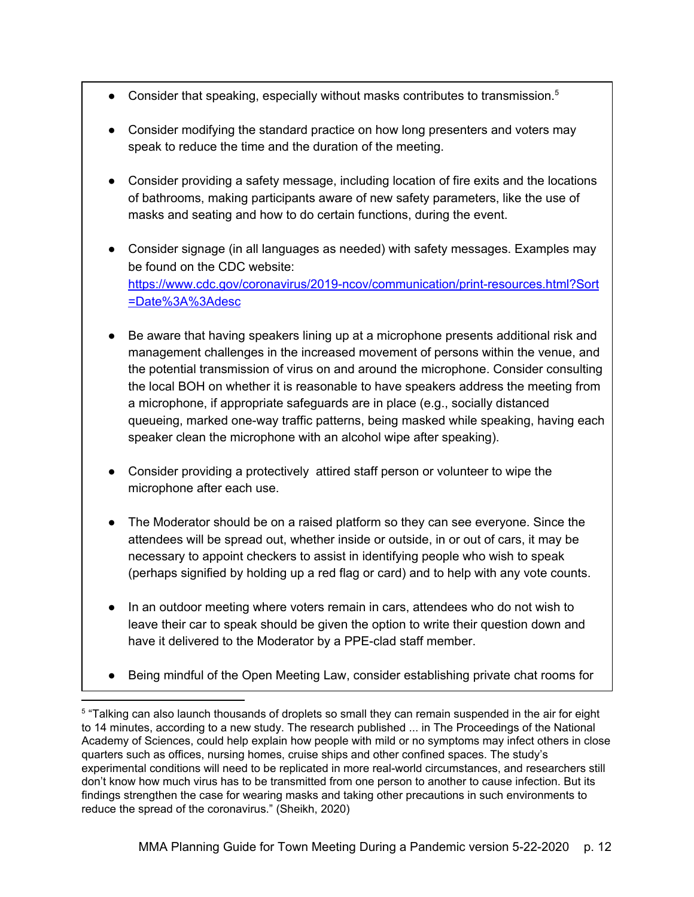- Consider that speaking, especially without masks contributes to transmission.<sup>5</sup>
- Consider modifying the standard practice on how long presenters and voters may speak to reduce the time and the duration of the meeting.
- Consider providing a safety message, including location of fire exits and the locations of bathrooms, making participants aware of new safety parameters, like the use of masks and seating and how to do certain functions, during the event.
- Consider signage (in all languages as needed) with safety messages. Examples may be found on the CDC website: [https://www.cdc.gov/coronavirus/2019-ncov/communication/print-resources.html?Sort](https://www.cdc.gov/coronavirus/2019-ncov/communication/print-resources.html?Sort=Date%3A%3Adesc) [=Date%3A%3Adesc](https://www.cdc.gov/coronavirus/2019-ncov/communication/print-resources.html?Sort=Date%3A%3Adesc)
- Be aware that having speakers lining up at a microphone presents additional risk and management challenges in the increased movement of persons within the venue, and the potential transmission of virus on and around the microphone. Consider consulting the local BOH on whether it is reasonable to have speakers address the meeting from a microphone, if appropriate safeguards are in place (e.g., socially distanced queueing, marked one-way traffic patterns, being masked while speaking, having each speaker clean the microphone with an alcohol wipe after speaking).
- Consider providing a protectively attired staff person or volunteer to wipe the microphone after each use.
- The Moderator should be on a raised platform so they can see everyone. Since the attendees will be spread out, whether inside or outside, in or out of cars, it may be necessary to appoint checkers to assist in identifying people who wish to speak (perhaps signified by holding up a red flag or card) and to help with any vote counts.
- In an outdoor meeting where voters remain in cars, attendees who do not wish to leave their car to speak should be given the option to write their question down and have it delivered to the Moderator by a PPE-clad staff member.
- Being mindful of the Open Meeting Law, consider establishing private chat rooms for

<sup>&</sup>lt;sup>5</sup> "Talking can also launch thousands of droplets so small they can remain suspended in the air for eight to 14 minutes, according to a new study. The research published ... in The Proceedings of the National Academy of Sciences, could help explain how people with mild or no symptoms may infect others in close quarters such as offices, nursing homes, cruise ships and other confined spaces. The study's experimental conditions will need to be replicated in more real-world circumstances, and researchers still don't know how much virus has to be transmitted from one person to another to cause infection. But its findings strengthen the case for wearing masks and taking other precautions in such environments to reduce the spread of the coronavirus." (Sheikh, 2020)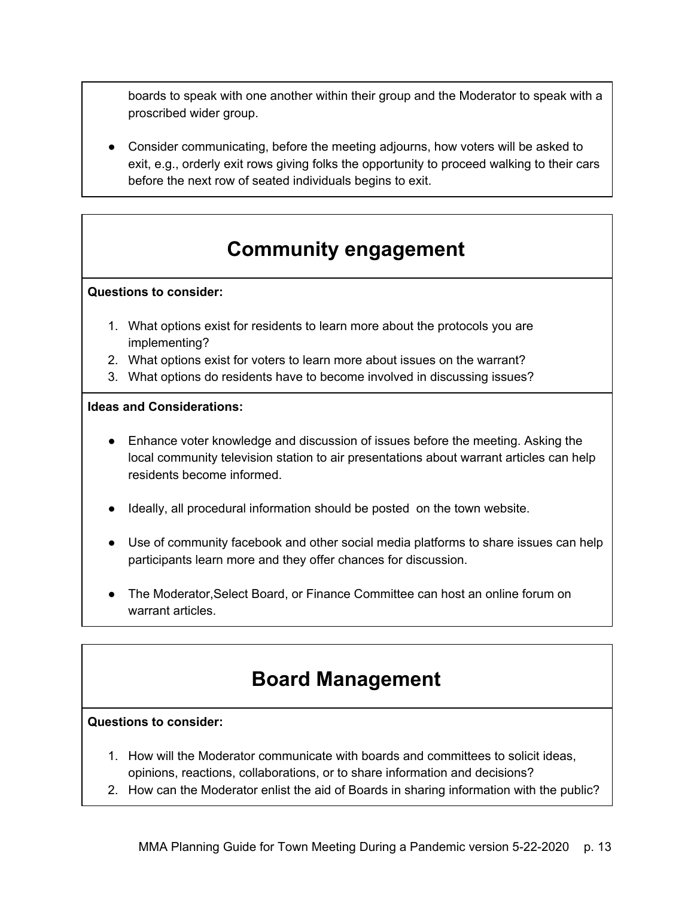boards to speak with one another within their group and the Moderator to speak with a proscribed wider group.

Consider communicating, before the meeting adjourns, how voters will be asked to exit, e.g., orderly exit rows giving folks the opportunity to proceed walking to their cars before the next row of seated individuals begins to exit.

## **Community engagement**

### <span id="page-12-0"></span>**Questions to consider:**

- 1. What options exist for residents to learn more about the protocols you are implementing?
- 2. What options exist for voters to learn more about issues on the warrant?
- 3. What options do residents have to become involved in discussing issues?

### **Ideas and Considerations:**

- Enhance voter knowledge and discussion of issues before the meeting. Asking the local community television station to air presentations about warrant articles can help residents become informed.
- Ideally, all procedural information should be posted on the town website.
- Use of community facebook and other social media platforms to share issues can help participants learn more and they offer chances for discussion.
- The Moderator, Select Board, or Finance Committee can host an online forum on warrant articles.

### **Board Management**

### <span id="page-12-1"></span>**Questions to consider:**

- 1. How will the Moderator communicate with boards and committees to solicit ideas, opinions, reactions, collaborations, or to share information and decisions?
- 2. How can the Moderator enlist the aid of Boards in sharing information with the public?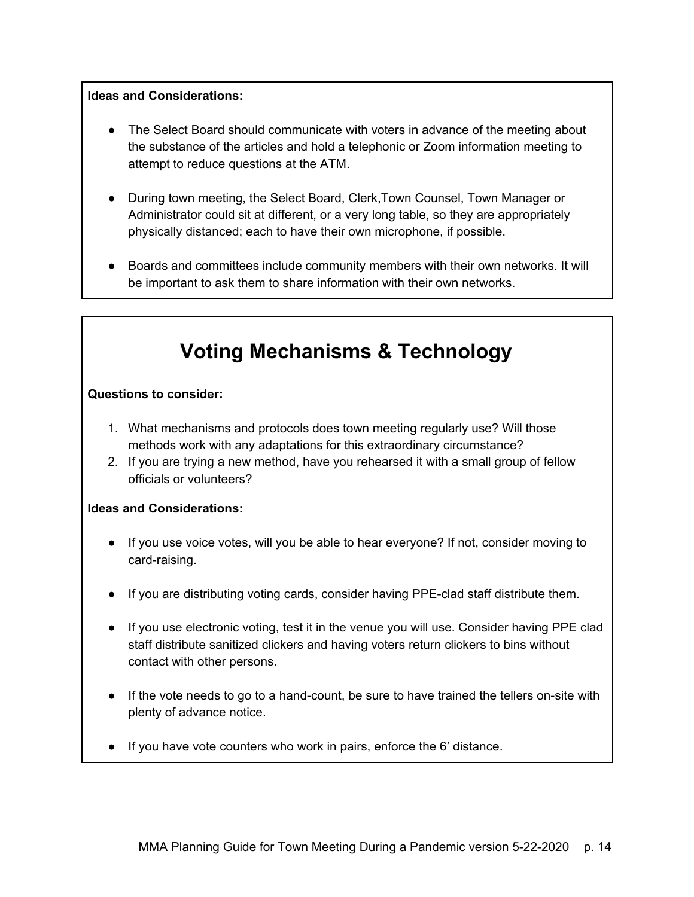### **Ideas and Considerations:**

- The Select Board should communicate with voters in advance of the meeting about the substance of the articles and hold a telephonic or Zoom information meeting to attempt to reduce questions at the ATM.
- During town meeting, the Select Board, Clerk, Town Counsel, Town Manager or Administrator could sit at different, or a very long table, so they are appropriately physically distanced; each to have their own microphone, if possible.
- Boards and committees include community members with their own networks. It will be important to ask them to share information with their own networks.

## **Voting Mechanisms & Technology**

#### <span id="page-13-0"></span>**Questions to consider:**

- 1. What mechanisms and protocols does town meeting regularly use? Will those methods work with any adaptations for this extraordinary circumstance?
- 2. If you are trying a new method, have you rehearsed it with a small group of fellow officials or volunteers?

- If you use voice votes, will you be able to hear everyone? If not, consider moving to card-raising.
- If you are distributing voting cards, consider having PPE-clad staff distribute them.
- If you use electronic voting, test it in the venue you will use. Consider having PPE clad staff distribute sanitized clickers and having voters return clickers to bins without contact with other persons.
- If the vote needs to go to a hand-count, be sure to have trained the tellers on-site with plenty of advance notice.
- If you have vote counters who work in pairs, enforce the 6' distance.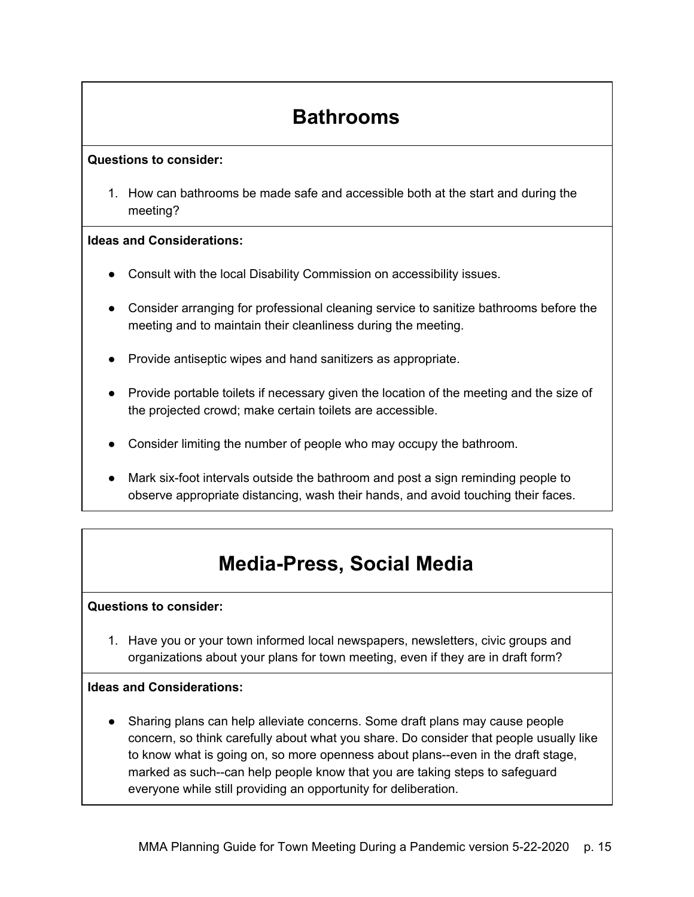## **Bathrooms**

### <span id="page-14-0"></span>**Questions to consider:**

1. How can bathrooms be made safe and accessible both at the start and during the meeting?

### **Ideas and Considerations:**

- Consult with the local Disability Commission on accessibility issues.
- Consider arranging for professional cleaning service to sanitize bathrooms before the meeting and to maintain their cleanliness during the meeting.
- Provide antiseptic wipes and hand sanitizers as appropriate.
- Provide portable toilets if necessary given the location of the meeting and the size of the projected crowd; make certain toilets are accessible.
- Consider limiting the number of people who may occupy the bathroom.
- Mark six-foot intervals outside the bathroom and post a sign reminding people to observe appropriate distancing, wash their hands, and avoid touching their faces.

## **Media-Press, Social Media**

### <span id="page-14-1"></span>**Questions to consider:**

1. Have you or your town informed local newspapers, newsletters, civic groups and organizations about your plans for town meeting, even if they are in draft form?

### **Ideas and Considerations:**

Sharing plans can help alleviate concerns. Some draft plans may cause people concern, so think carefully about what you share. Do consider that people usually like to know what is going on, so more openness about plans--even in the draft stage, marked as such--can help people know that you are taking steps to safeguard everyone while still providing an opportunity for deliberation.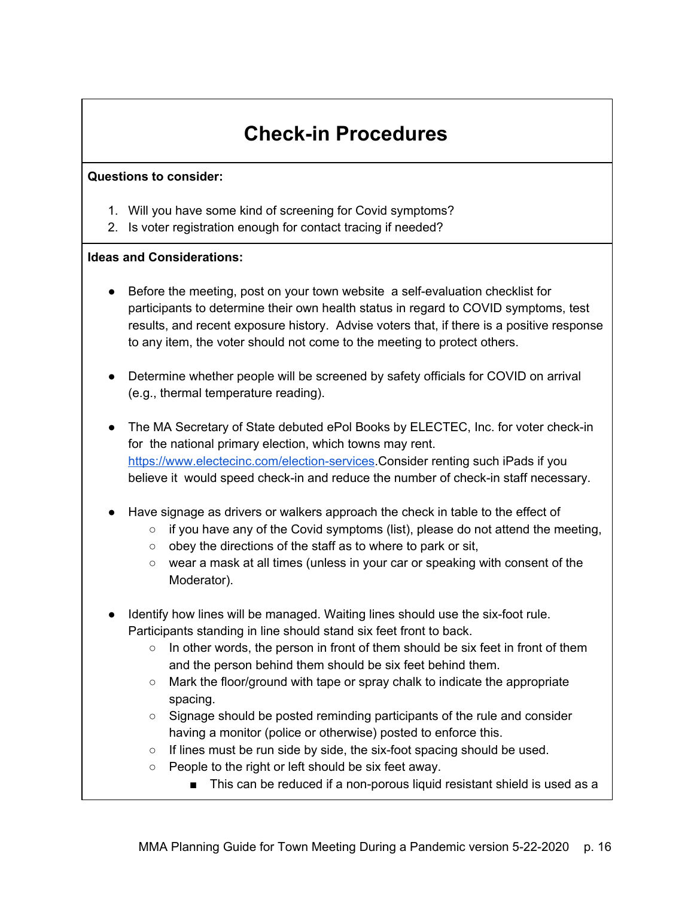## **Check-in Procedures**

#### <span id="page-15-0"></span>**Questions to consider:**

- 1. Will you have some kind of screening for Covid symptoms?
- 2. Is voter registration enough for contact tracing if needed?

- Before the meeting, post on your town website a self-evaluation checklist for participants to determine their own health status in regard to COVID symptoms, test results, and recent exposure history. Advise voters that, if there is a positive response to any item, the voter should not come to the meeting to protect others.
- Determine whether people will be screened by safety officials for COVID on arrival (e.g., thermal temperature reading).
- The MA Secretary of State debuted ePol Books by ELECTEC, Inc. for voter check-in for the national primary election, which towns may rent. [https://www.electecinc.com/election-services.](https://www.electecinc.com/election-services)Consider renting such iPads if you believe it would speed check-in and reduce the number of check-in staff necessary.
- Have signage as drivers or walkers approach the check in table to the effect of
	- $\circ$  if you have any of the Covid symptoms (list), please do not attend the meeting,
	- $\circ$  obey the directions of the staff as to where to park or sit,
	- wear a mask at all times (unless in your car or speaking with consent of the Moderator).
- Identify how lines will be managed. Waiting lines should use the six-foot rule. Participants standing in line should stand six feet front to back.
	- $\circ$  In other words, the person in front of them should be six feet in front of them and the person behind them should be six feet behind them.
	- Mark the floor/ground with tape or spray chalk to indicate the appropriate spacing.
	- Signage should be posted reminding participants of the rule and consider having a monitor (police or otherwise) posted to enforce this.
	- $\circ$  If lines must be run side by side, the six-foot spacing should be used.
	- People to the right or left should be six feet away.
		- This can be reduced if a non-porous liquid resistant shield is used as a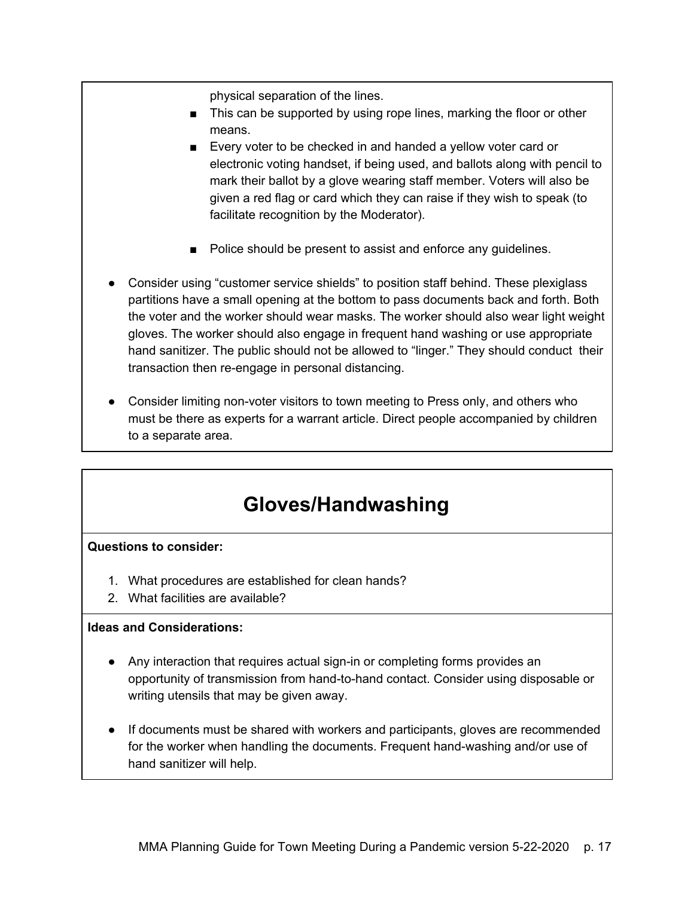physical separation of the lines.

- This can be supported by using rope lines, marking the floor or other means.
- Every voter to be checked in and handed a yellow voter card or electronic voting handset, if being used, and ballots along with pencil to mark their ballot by a glove wearing staff member. Voters will also be given a red flag or card which they can raise if they wish to speak (to facilitate recognition by the Moderator).
- Police should be present to assist and enforce any guidelines.
- Consider using "customer service shields" to position staff behind. These plexiglass partitions have a small opening at the bottom to pass documents back and forth. Both the voter and the worker should wear masks. The worker should also wear light weight gloves. The worker should also engage in frequent hand washing or use appropriate hand sanitizer. The public should not be allowed to "linger." They should conduct their transaction then re-engage in personal distancing.
- Consider limiting non-voter visitors to town meeting to Press only, and others who must be there as experts for a warrant article. Direct people accompanied by children to a separate area.

### **Gloves/Handwashing**

### <span id="page-16-0"></span>**Questions to consider:**

- 1. What procedures are established for clean hands?
- 2. What facilities are available?

- Any interaction that requires actual sign-in or completing forms provides an opportunity of transmission from hand-to-hand contact. Consider using disposable or writing utensils that may be given away.
- If documents must be shared with workers and participants, gloves are recommended for the worker when handling the documents. Frequent hand-washing and/or use of hand sanitizer will help.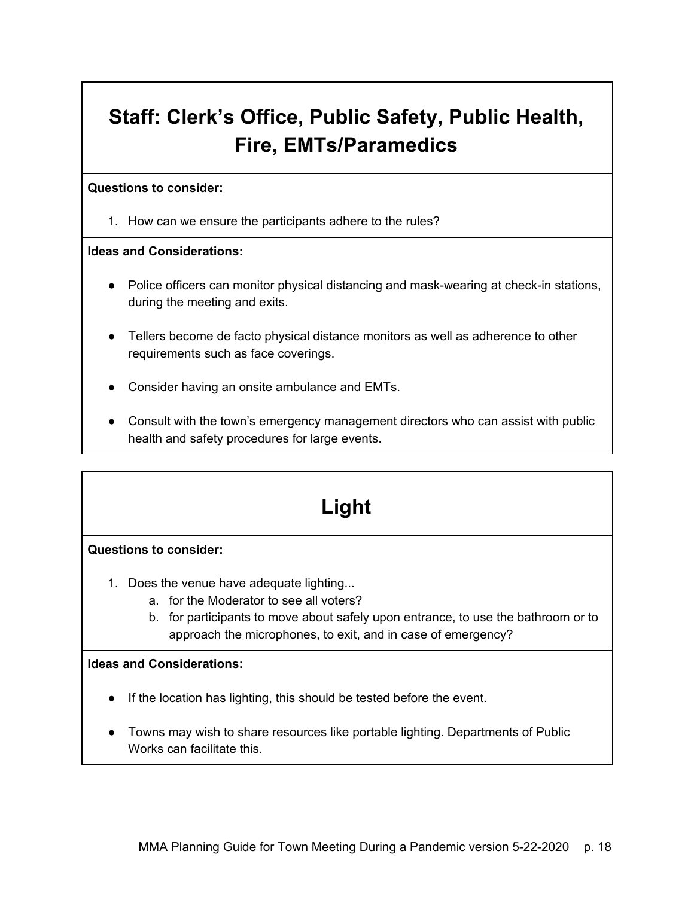# <span id="page-17-0"></span>**Staff: Clerk's Office, Public Safety, Public Health, Fire, EMTs/Paramedics**

#### **Questions to consider:**

1. How can we ensure the participants adhere to the rules?

### **Ideas and Considerations:**

- Police officers can monitor physical distancing and mask-wearing at check-in stations, during the meeting and exits.
- Tellers become de facto physical distance monitors as well as adherence to other requirements such as face coverings.
- Consider having an onsite ambulance and EMTs.
- Consult with the town's emergency management directors who can assist with public health and safety procedures for large events.

## **Light**

### <span id="page-17-1"></span>**Questions to consider:**

- 1. Does the venue have adequate lighting...
	- a. for the Moderator to see all voters?
	- b. for participants to move about safely upon entrance, to use the bathroom or to approach the microphones, to exit, and in case of emergency?

- If the location has lighting, this should be tested before the event.
- Towns may wish to share resources like portable lighting. Departments of Public Works can facilitate this.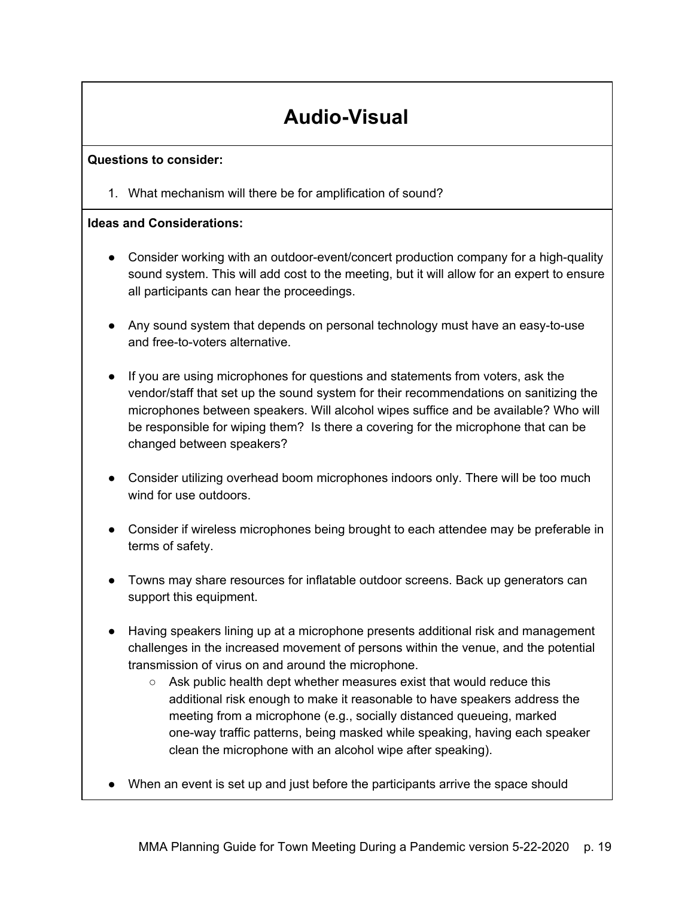## **Audio-Visual**

### <span id="page-18-0"></span>**Questions to consider:**

1. What mechanism will there be for amplification of sound?

- Consider working with an outdoor-event/concert production company for a high-quality sound system. This will add cost to the meeting, but it will allow for an expert to ensure all participants can hear the proceedings.
- Any sound system that depends on personal technology must have an easy-to-use and free-to-voters alternative.
- If you are using microphones for questions and statements from voters, ask the vendor/staff that set up the sound system for their recommendations on sanitizing the microphones between speakers. Will alcohol wipes suffice and be available? Who will be responsible for wiping them? Is there a covering for the microphone that can be changed between speakers?
- Consider utilizing overhead boom microphones indoors only. There will be too much wind for use outdoors.
- Consider if wireless microphones being brought to each attendee may be preferable in terms of safety.
- Towns may share resources for inflatable outdoor screens. Back up generators can support this equipment.
- Having speakers lining up at a microphone presents additional risk and management challenges in the increased movement of persons within the venue, and the potential transmission of virus on and around the microphone.
	- $\circ$  Ask public health dept whether measures exist that would reduce this additional risk enough to make it reasonable to have speakers address the meeting from a microphone (e.g., socially distanced queueing, marked one-way traffic patterns, being masked while speaking, having each speaker clean the microphone with an alcohol wipe after speaking).
- When an event is set up and just before the participants arrive the space should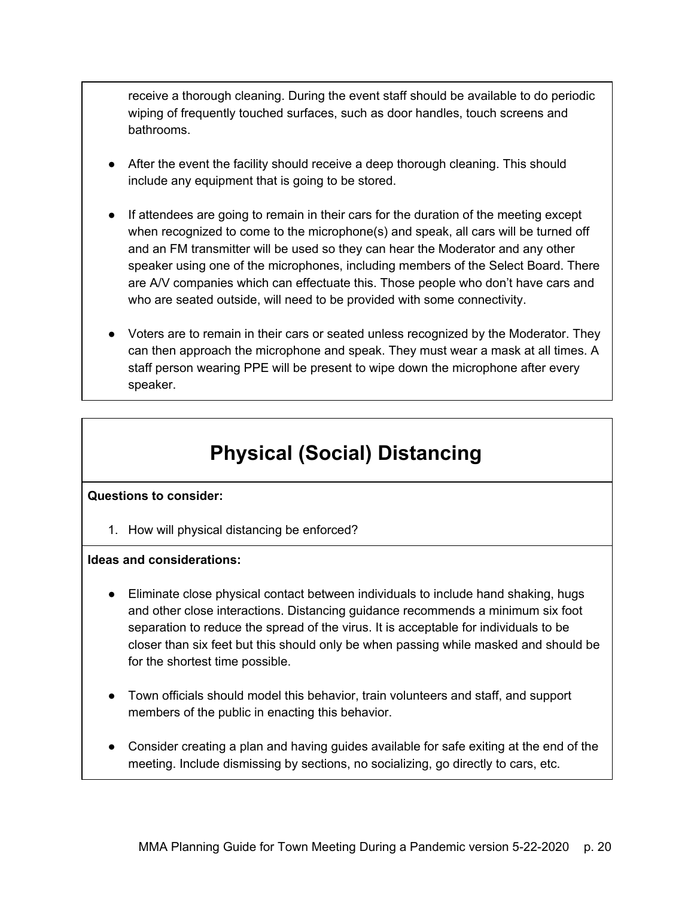receive a thorough cleaning. During the event staff should be available to do periodic wiping of frequently touched surfaces, such as door handles, touch screens and bathrooms.

- After the event the facility should receive a deep thorough cleaning. This should include any equipment that is going to be stored.
- If attendees are going to remain in their cars for the duration of the meeting except when recognized to come to the microphone(s) and speak, all cars will be turned off and an FM transmitter will be used so they can hear the Moderator and any other speaker using one of the microphones, including members of the Select Board. There are A/V companies which can effectuate this. Those people who don't have cars and who are seated outside, will need to be provided with some connectivity.
- Voters are to remain in their cars or seated unless recognized by the Moderator. They can then approach the microphone and speak. They must wear a mask at all times. A staff person wearing PPE will be present to wipe down the microphone after every speaker.

## **Physical (Social) Distancing**

### <span id="page-19-0"></span>**Questions to consider:**

1. How will physical distancing be enforced?

- Eliminate close physical contact between individuals to include hand shaking, hugs and other close interactions. Distancing guidance recommends a minimum six foot separation to reduce the spread of the virus. It is acceptable for individuals to be closer than six feet but this should only be when passing while masked and should be for the shortest time possible.
- Town officials should model this behavior, train volunteers and staff, and support members of the public in enacting this behavior.
- Consider creating a plan and having guides available for safe exiting at the end of the meeting. Include dismissing by sections, no socializing, go directly to cars, etc.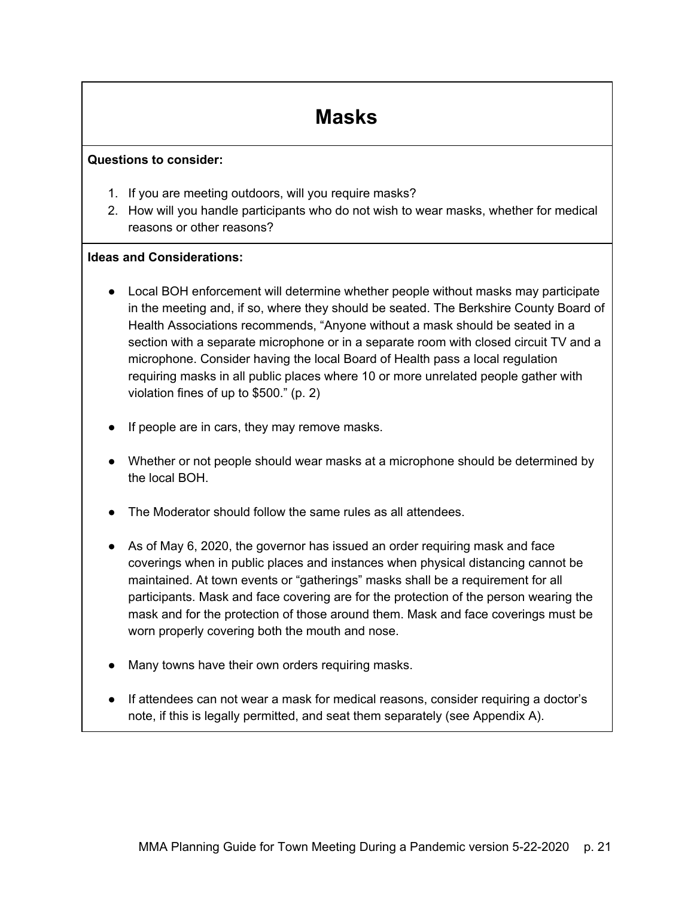## **Masks**

#### <span id="page-20-0"></span>**Questions to consider:**

- 1. If you are meeting outdoors, will you require masks?
- 2. How will you handle participants who do not wish to wear masks, whether for medical reasons or other reasons?

- Local BOH enforcement will determine whether people without masks may participate in the meeting and, if so, where they should be seated. The Berkshire County Board of Health Associations recommends, "Anyone without a mask should be seated in a section with a separate microphone or in a separate room with closed circuit TV and a microphone. Consider having the local Board of Health pass a local regulation requiring masks in all public places where 10 or more unrelated people gather with violation fines of up to \$500." (p. 2)
- If people are in cars, they may remove masks.
- Whether or not people should wear masks at a microphone should be determined by the local BOH.
- The Moderator should follow the same rules as all attendees.
- As of May 6, 2020, the governor has issued an order requiring mask and face coverings when in public places and instances when physical distancing cannot be maintained. At town events or "gatherings" masks shall be a requirement for all participants. Mask and face covering are for the protection of the person wearing the mask and for the protection of those around them. Mask and face coverings must be worn properly covering both the mouth and nose.
- Many towns have their own orders requiring masks.
- If attendees can not wear a mask for medical reasons, consider requiring a doctor's note, if this is legally permitted, and seat them separately (see Appendix A).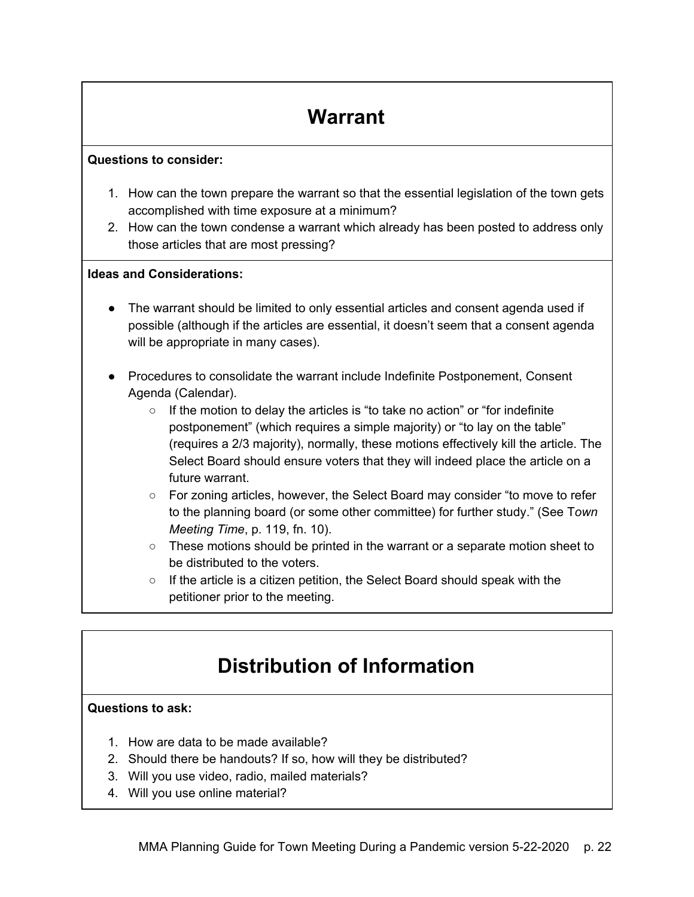## **Warrant**

#### <span id="page-21-0"></span>**Questions to consider:**

- 1. How can the town prepare the warrant so that the essential legislation of the town gets accomplished with time exposure at a minimum?
- 2. How can the town condense a warrant which already has been posted to address only those articles that are most pressing?

### **Ideas and Considerations:**

- The warrant should be limited to only essential articles and consent agenda used if possible (although if the articles are essential, it doesn't seem that a consent agenda will be appropriate in many cases).
- Procedures to consolidate the warrant include Indefinite Postponement, Consent Agenda (Calendar).
	- If the motion to delay the articles is "to take no action" or "for indefinite postponement" (which requires a simple majority) or "to lay on the table" (requires a 2/3 majority), normally, these motions effectively kill the article. The Select Board should ensure voters that they will indeed place the article on a future warrant.
	- For zoning articles, however, the Select Board may consider "to move to refer to the planning board (or some other committee) for further study." (See T*own Meeting Time*, p. 119, fn. 10).
	- These motions should be printed in the warrant or a separate motion sheet to be distributed to the voters.
	- If the article is a citizen petition, the Select Board should speak with the petitioner prior to the meeting.

## **Distribution of Information**

### <span id="page-21-1"></span>**Questions to ask:**

- 1. How are data to be made available?
- 2. Should there be handouts? If so, how will they be distributed?
- 3. Will you use video, radio, mailed materials?
- 4. Will you use online material?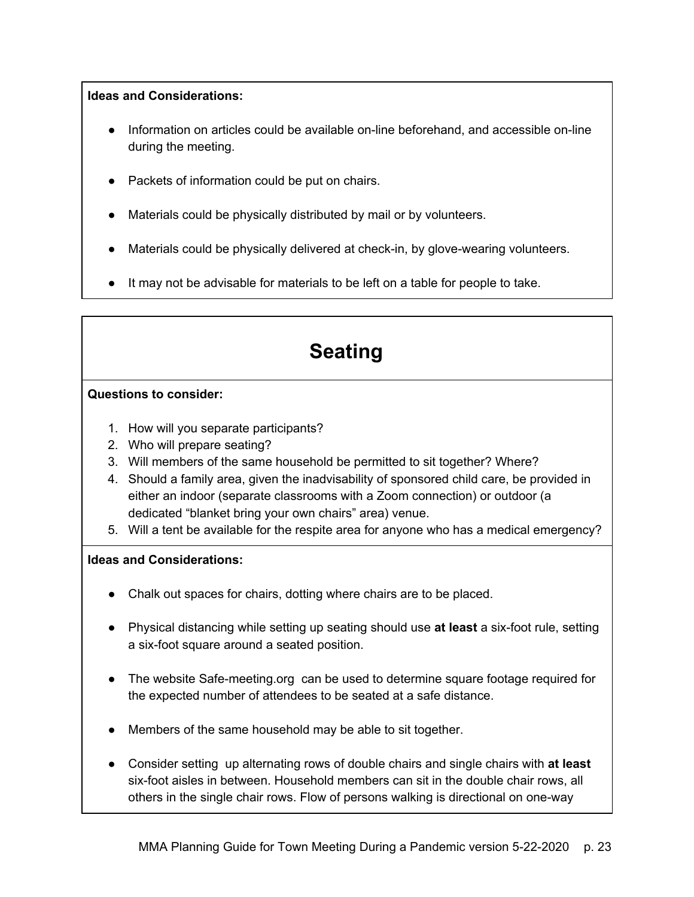### **Ideas and Considerations:**

- Information on articles could be available on-line beforehand, and accessible on-line during the meeting.
- Packets of information could be put on chairs.
- Materials could be physically distributed by mail or by volunteers.
- Materials could be physically delivered at check-in, by glove-wearing volunteers.
- <span id="page-22-0"></span>● It may not be advisable for materials to be left on a table for people to take.

## **Seating**

### **Questions to consider:**

- 1. How will you separate participants?
- 2. Who will prepare seating?
- 3. Will members of the same household be permitted to sit together? Where?
- 4. Should a family area, given the inadvisability of sponsored child care, be provided in either an indoor (separate classrooms with a Zoom connection) or outdoor (a dedicated "blanket bring your own chairs" area) venue.
- 5. Will a tent be available for the respite area for anyone who has a medical emergency?

- Chalk out spaces for chairs, dotting where chairs are to be placed.
- Physical distancing while setting up seating should use **at least** a six-foot rule, setting a six-foot square around a seated position.
- The website Safe-meeting.org can be used to determine square footage required for the expected number of attendees to be seated at a safe distance.
- Members of the same household may be able to sit together.
- Consider setting up alternating rows of double chairs and single chairs with **at least**  six-foot aisles in between. Household members can sit in the double chair rows, all others in the single chair rows. Flow of persons walking is directional on one-way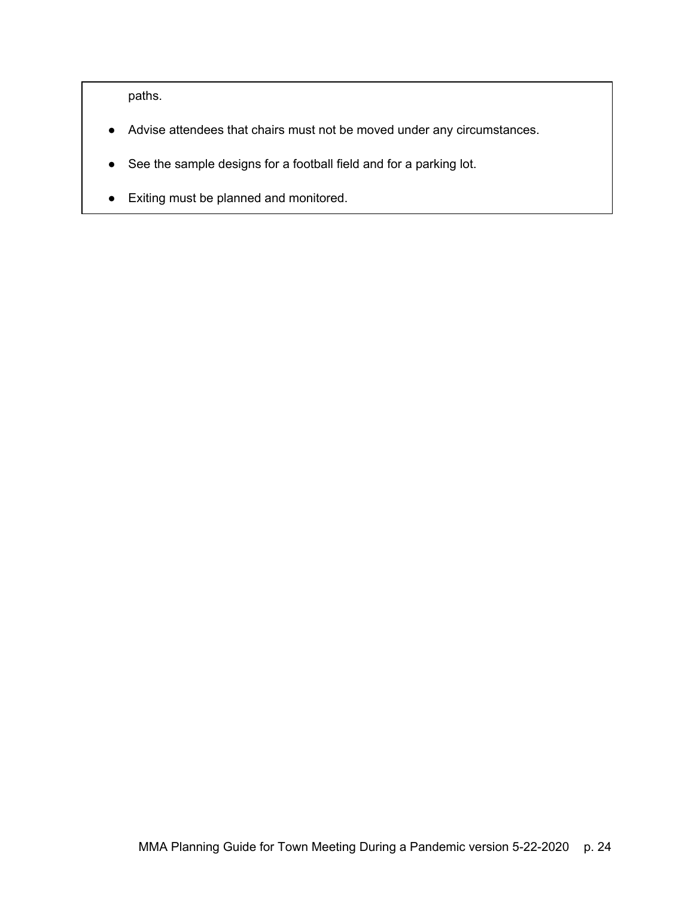paths.

- Advise attendees that chairs must not be moved under any circumstances.
- See the sample designs for a football field and for a parking lot.
- Exiting must be planned and monitored.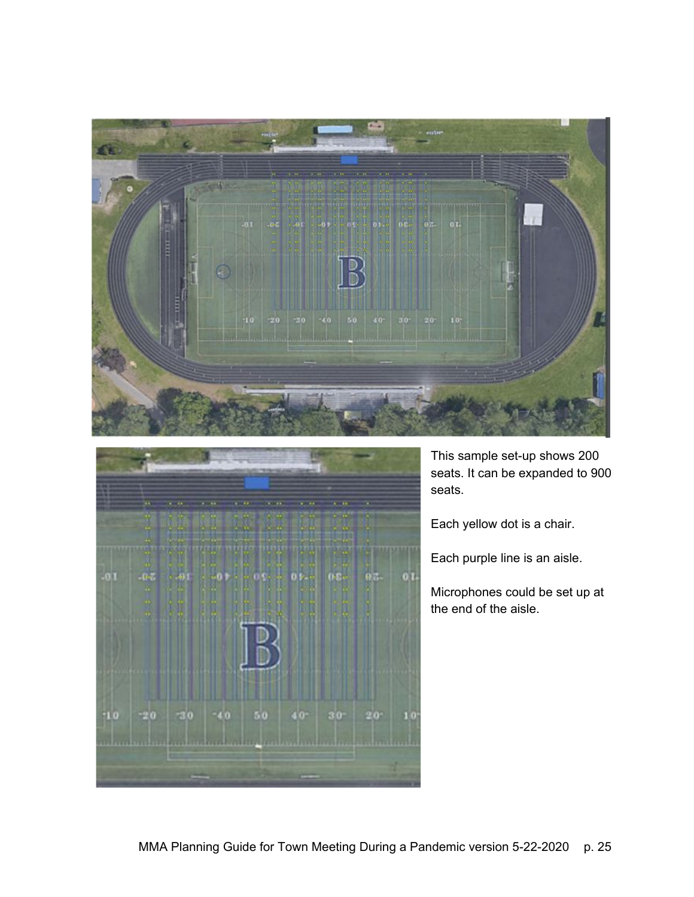

|        | $\overline{\phantom{a}}$ | <b>Carolina</b> | <b>PACKAGE</b> | $+ - + +$    | <b>CARDIOR</b><br>93.00                                 | 1.111   | <b>CALL BASE</b> |         |  |
|--------|--------------------------|-----------------|----------------|--------------|---------------------------------------------------------|---------|------------------|---------|--|
|        | m                        | <b>FRINGER</b>  |                | <b>LIGHT</b> | <b>STARTER</b><br><b>MG 44</b><br><b><i>PARTIES</i></b> |         |                  |         |  |
| $-011$ | $-0.7$                   | $-0.5$          | - 0 P          |              | <b>OKS</b>                                              | 01<br>R | 0.50             | $0.3 -$ |  |
|        | ×<br>w                   |                 |                |              |                                                         |         |                  |         |  |
|        | R                        |                 |                |              |                                                         |         |                  |         |  |
|        |                          |                 |                |              |                                                         |         |                  |         |  |
|        |                          |                 |                |              |                                                         |         |                  |         |  |
|        |                          |                 |                |              |                                                         |         |                  |         |  |
| o      | <b>PAU</b>               | $-30$           | $-4.0$         |              | 50                                                      | $40 -$  | $30^{\circ}$     | $20 -$  |  |
|        |                          |                 |                |              |                                                         |         |                  |         |  |
|        |                          |                 |                |              |                                                         |         |                  |         |  |

This sample set-up shows 200 seats. It can be expanded to 900 seats.

Each yellow dot is a chair.

Each purple line is an aisle.

Microphones could be set up at the end of the aisle.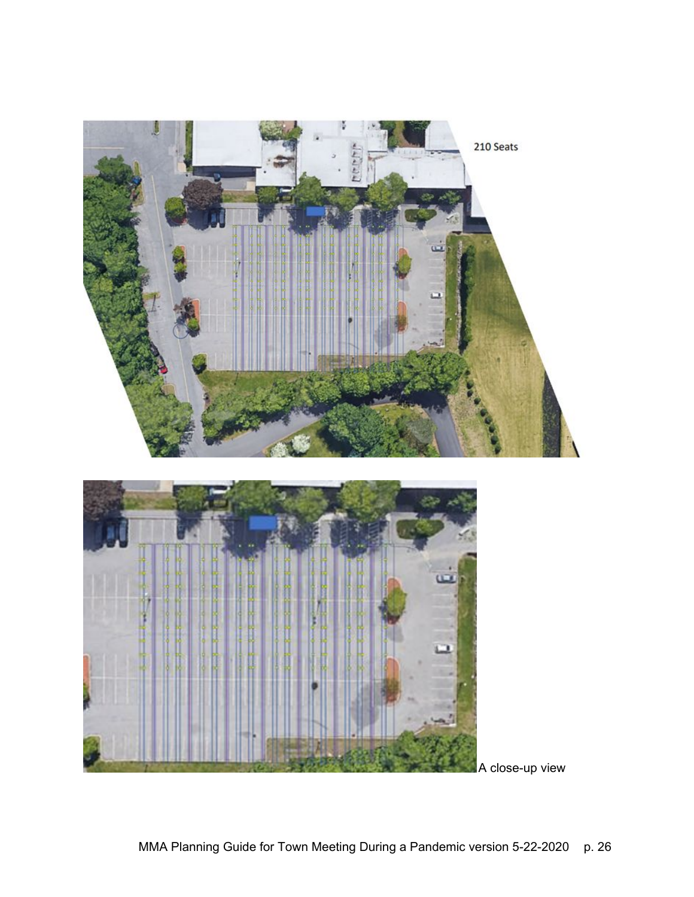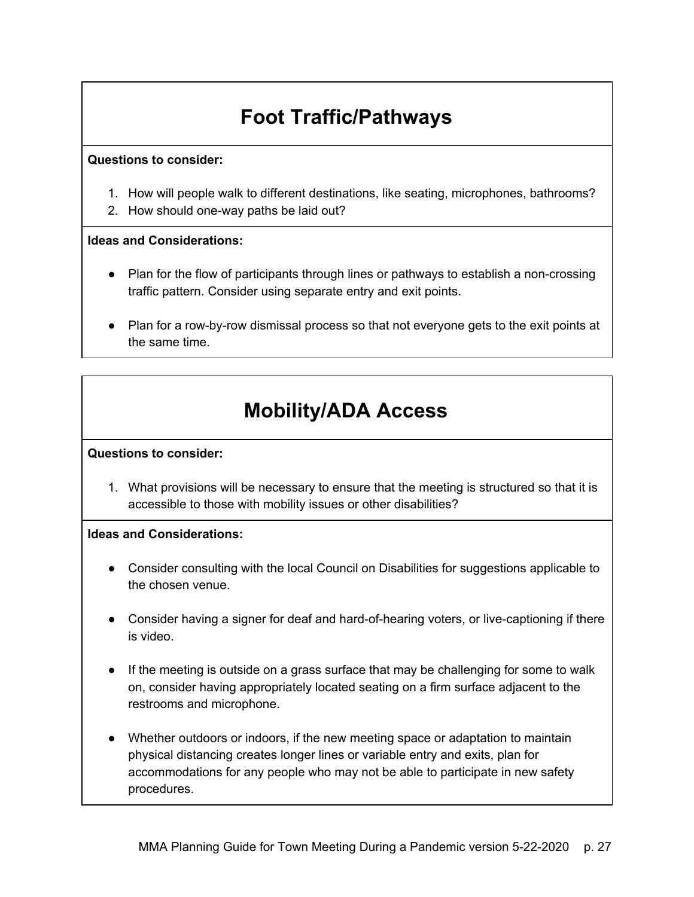## **Foot Traffic/Pathways**

#### <span id="page-26-0"></span>**Questions to consider:**

- 1. How will people walk to different destinations, like seating, microphones, bathrooms?
- 2. How should one-way paths be laid out?

### **Ideas and Considerations:**

- Plan for the flow of participants through lines or pathways to establish a non-crossing traffic pattern. Consider using separate entry and exit points.
- Plan for a row-by-row dismissal process so that not everyone gets to the exit points at the same time.

## **Mobility/ADA Access**

#### <span id="page-26-1"></span>**Questions to consider:**

1. What provisions will be necessary to ensure that the meeting is structured so that it is accessible to those with mobility issues or other disabilities?

- Consider consulting with the local Council on Disabilities for suggestions applicable to the chosen venue.
- Consider having a signer for deaf and hard-of-hearing voters, or live-captioning if there is video.
- If the meeting is outside on a grass surface that may be challenging for some to walk on, consider having appropriately located seating on a firm surface adjacent to the restrooms and microphone.
- Whether outdoors or indoors, if the new meeting space or adaptation to maintain physical distancing creates longer lines or variable entry and exits, plan for accommodations for any people who may not be able to participate in new safety procedures.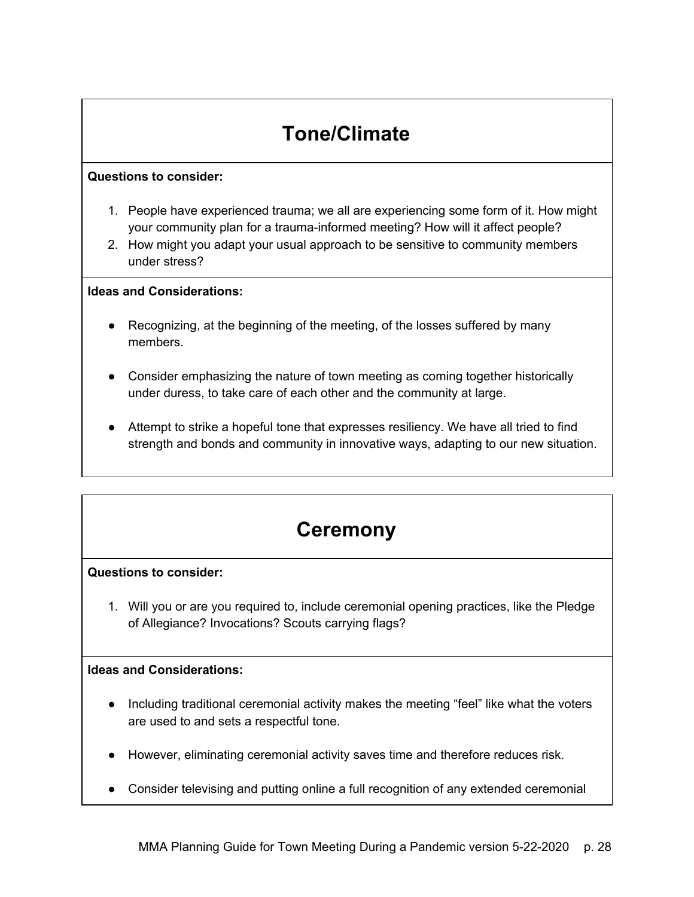## **Tone/Climate**

### <span id="page-27-0"></span>**Questions to consider:**

- 1. People have experienced trauma; we all are experiencing some form of it. How might your community plan for a trauma-informed meeting? How will it affect people?
- 2. How might you adapt your usual approach to be sensitive to community members under stress?

### **Ideas and Considerations:**

- Recognizing, at the beginning of the meeting, of the losses suffered by many members.
- Consider emphasizing the nature of town meeting as coming together historically under duress, to take care of each other and the community at large.
- Attempt to strike a hopeful tone that expresses resiliency. We have all tried to find strength and bonds and community in innovative ways, adapting to our new situation.

### **Ceremony**

### <span id="page-27-1"></span>**Questions to consider:**

1. Will you or are you required to, include ceremonial opening practices, like the Pledge of Allegiance? Invocations? Scouts carrying flags?

- Including traditional ceremonial activity makes the meeting "feel" like what the voters are used to and sets a respectful tone.
- However, eliminating ceremonial activity saves time and therefore reduces risk.
- Consider televising and putting online a full recognition of any extended ceremonial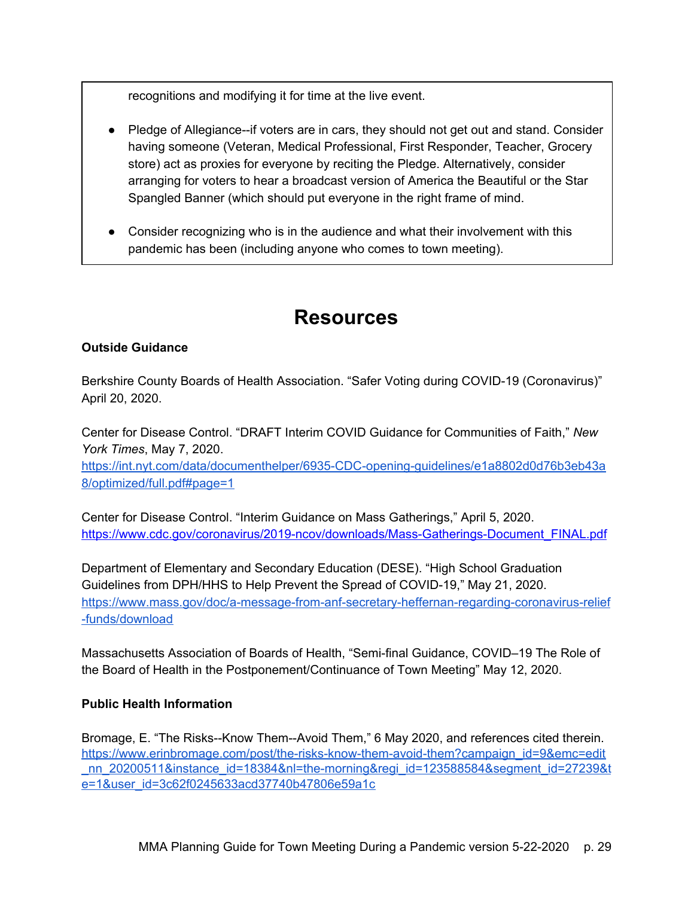recognitions and modifying it for time at the live event.

- Pledge of Allegiance--if voters are in cars, they should not get out and stand. Consider having someone (Veteran, Medical Professional, First Responder, Teacher, Grocery store) act as proxies for everyone by reciting the Pledge. Alternatively, consider arranging for voters to hear a broadcast version of America the Beautiful or the Star Spangled Banner (which should put everyone in the right frame of mind.
- Consider recognizing who is in the audience and what their involvement with this pandemic has been (including anyone who comes to town meeting).

### **Resources**

### <span id="page-28-0"></span>**Outside Guidance**

Berkshire County Boards of Health Association. "Safer Voting during COVID-19 (Coronavirus)" April 20, 2020.

Center for Disease Control. "DRAFT Interim COVID Guidance for Communities of Faith," *New York Times*, May 7, 2020.

[https://int.nyt.com/data/documenthelper/6935-CDC-opening-guidelines/e1a8802d0d76b3eb43a](https://int.nyt.com/data/documenthelper/6935-CDC-opening-guidelines/e1a8802d0d76b3eb43a8/optimized/full.pdf#page=1) [8/optimized/full.pdf#page=1](https://int.nyt.com/data/documenthelper/6935-CDC-opening-guidelines/e1a8802d0d76b3eb43a8/optimized/full.pdf#page=1)

Center for Disease Control. "Interim Guidance on Mass Gatherings," April 5, 2020. [https://www.cdc.gov/coronavirus/2019-ncov/downloads/Mass-Gatherings-Document\\_FINAL.pdf](https://www.cdc.gov/coronavirus/2019-ncov/downloads/Mass-Gatherings-Document_FINAL.pdf) 

Department of Elementary and Secondary Education (DESE). "High School Graduation Guidelines from DPH/HHS to Help Prevent the Spread of COVID-19," May 21, 2020. [https://www.mass.gov/doc/a-message-from-anf-secretary-heffernan-regarding-coronavirus-relief](https://www.mass.gov/doc/a-message-from-anf-secretary-heffernan-regarding-coronavirus-relief-funds/download) [-funds/download](https://www.mass.gov/doc/a-message-from-anf-secretary-heffernan-regarding-coronavirus-relief-funds/download)

Massachusetts Association of Boards of Health, "Semi-final Guidance, COVID–19 The Role of the Board of Health in the Postponement/Continuance of Town Meeting" May 12, 2020.

### **Public Health Information**

Bromage, E. "The Risks--Know Them--Avoid Them," 6 May 2020, and references cited therein. [https://www.erinbromage.com/post/the-risks-know-them-avoid-them?campaign\\_id=9&emc=edit](https://www.erinbromage.com/post/the-risks-know-them-avoid-them?campaign_id=9&emc=edit_nn_20200511&instance_id=18384&nl=the-morning®i_id=123588584&segment_id=27239&te=1&user_id=3c62f0245633acd37740b47806e59a1c) nn 20200511&instance\_id=18384&nl=the-morning&regi\_id=123588584&segment\_id=27239&t e=1&user\_id=3c62f0245633acd37740b47806e59a1c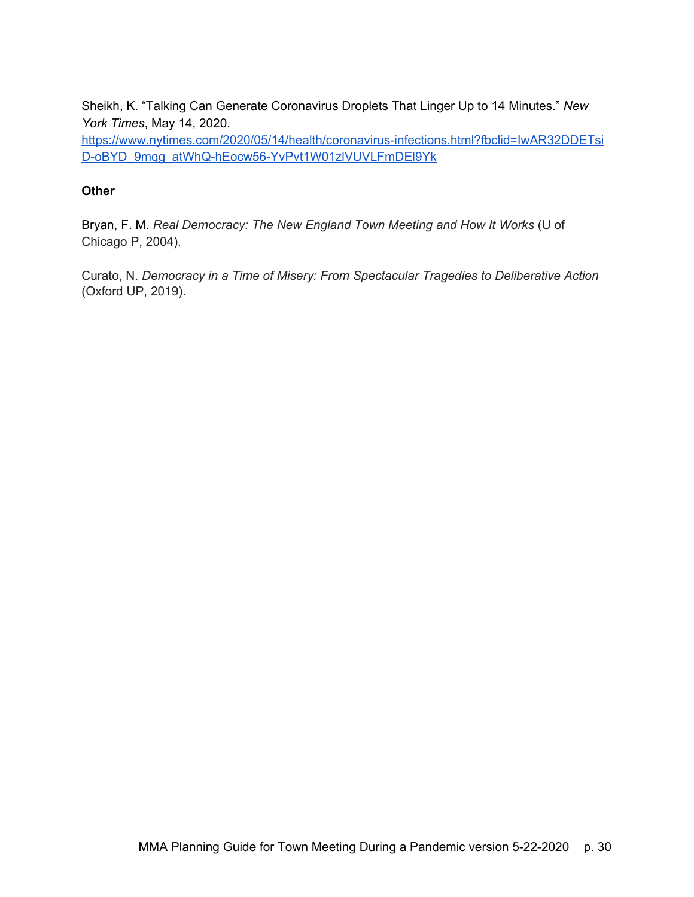Sheikh, K. "Talking Can Generate Coronavirus Droplets That Linger Up to 14 Minutes." *New York Times*, May 14, 2020.

[https://www.nytimes.com/2020/05/14/health/coronavirus-infections.html?fbclid=IwAR32DDETsi](https://www.nytimes.com/2020/05/14/health/coronavirus-infections.html?fbclid=IwAR32DDETsiD-oBYD_9mqg_atWhQ-hEocw56-YvPvt1W01zlVUVLFmDEl9Yk) [D-oBYD\\_9mqg\\_atWhQ-hEocw56-YvPvt1W01zlVUVLFmDEl9Yk](https://www.nytimes.com/2020/05/14/health/coronavirus-infections.html?fbclid=IwAR32DDETsiD-oBYD_9mqg_atWhQ-hEocw56-YvPvt1W01zlVUVLFmDEl9Yk) 

### **Other**

Bryan, F. M. *Real Democracy: The New England Town Meeting and How It Works* (U of Chicago P, 2004).

Curato, N. *Democracy in a Time of Misery: From Spectacular Tragedies to Deliberative Action* (Oxford UP, 2019).